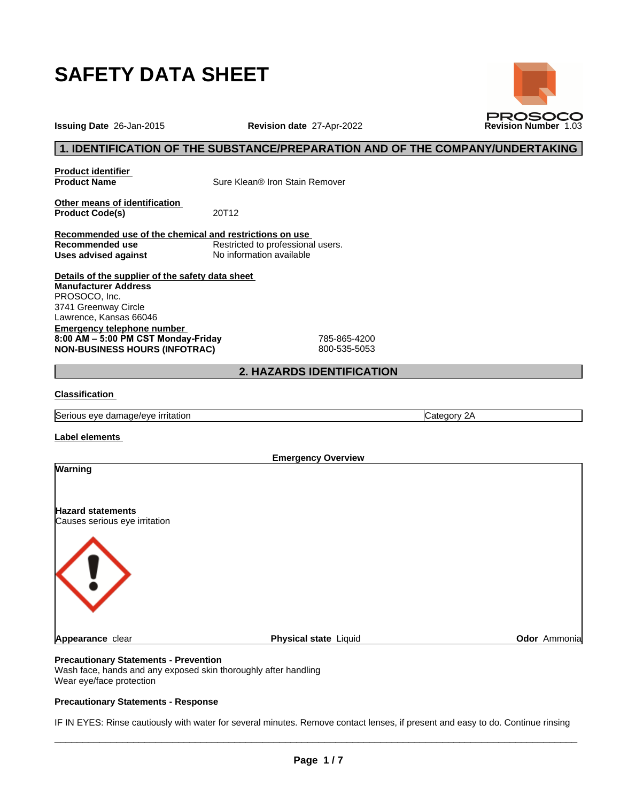

**Issuing Date** 26-Jan-2015 **Revision date** 27-Apr-2022 **Revision Number** 1.03

## **1. IDENTIFICATION OF THE SUBSTANCE/PREPARATION AND OF THE COMPANY/UNDERTAKING**

**Product identifier**

**Product Name** Sure Klean® Iron Stain Remover

**Other means of identification**<br>**Product Code(s)** 20T12 **Product Code(s)** 

**Recommended use of the chemical and restrictions on use Restricted to professional users. Uses advised against** No information available

**Details of the supplier of the safety data sheet Emergency telephone number 8:00AM–5:00PMCSTMonday-Friday** 785-865-4200 **NON-BUSINESS HOURS (INFOTRAC)** 800-535-5053 **Manufacturer Address** PROSOCO, Inc. 3741 Greenway Circle Lawrence, Kansas 66046

## **2. HAZARDS IDENTIFICATION**

## **Classification**

Serious eye damage/eye irritation **Category 2A** Category 2A

**Label elements**

|                               | <b>Emergency Overview</b> |              |
|-------------------------------|---------------------------|--------------|
| Warning                       |                           |              |
|                               |                           |              |
|                               |                           |              |
| <b>Hazard statements</b>      |                           |              |
| Causes serious eye irritation |                           |              |
|                               |                           |              |
|                               |                           |              |
|                               |                           |              |
|                               |                           |              |
|                               |                           |              |
|                               |                           |              |
|                               |                           |              |
|                               |                           |              |
| Appearance clear              | Physical state Liquid     | Odor Ammonia |
|                               |                           |              |

## **Precautionary Statements - Prevention**

Wash face, hands and any exposed skin thoroughly after handling Wear eye/face protection

## **Precautionary Statements - Response**

IF IN EYES: Rinse cautiously with water for several minutes. Remove contact lenses, if present and easy to do. Continue rinsing

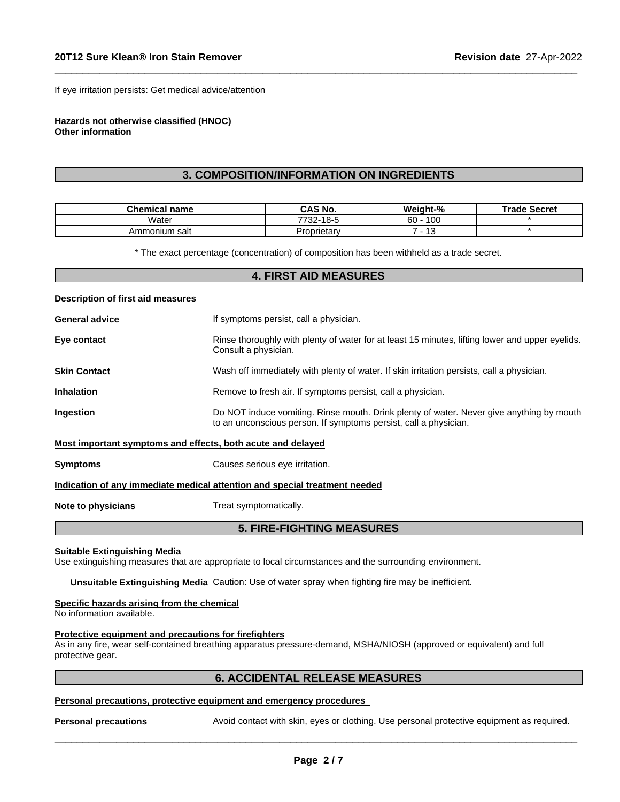If eye irritation persists: Get medical advice/attention

#### **Hazards not otherwise classified (HNOC) Other information**

# **3. COMPOSITION/INFORMATION ON INGREDIENTS**

 $\_$  ,  $\_$  ,  $\_$  ,  $\_$  ,  $\_$  ,  $\_$  ,  $\_$  ,  $\_$  ,  $\_$  ,  $\_$  ,  $\_$  ,  $\_$  ,  $\_$  ,  $\_$  ,  $\_$  ,  $\_$  ,  $\_$  ,  $\_$  ,  $\_$  ,  $\_$  ,  $\_$  ,  $\_$  ,  $\_$  ,  $\_$  ,  $\_$  ,  $\_$  ,  $\_$  ,  $\_$  ,  $\_$  ,  $\_$  ,  $\_$  ,  $\_$  ,  $\_$  ,  $\_$  ,  $\_$  ,  $\_$  ,  $\_$  ,

| Chemical<br>name | <b>CAS No.</b>                                                      | Weight-%              | Trade Secret |
|------------------|---------------------------------------------------------------------|-----------------------|--------------|
| .<br>Water       | 7700<br>$\overline{A}$ $\cap$ $\overline{C}$<br>טו<br>10-0<br>-22 ، | 100<br>c٥<br>ΌU       |              |
| Ammonium salt    | Proprietary                                                         | $\overline{ }$<br>ں ا |              |

\* The exact percentage (concentration) of composition has been withheld as a trade secret.

## **4. FIRST AID MEASURES**

# **Description of first aid measures General advice If** symptoms persist, call a physician. **Eye contact Rinse thoroughly with plenty of water for at least 15 minutes, lifting lower and upper eyelids.** Consult a physician. **Skin Contact** Wash off immediately with plenty of water. If skin irritation persists, call a physician. **Inhalation** Remove to fresh air. If symptoms persist, call a physician. **Ingestion Do NOT** induce vomiting. Rinse mouth. Drink plenty of water. Never give anything by mouth to an unconscious person. If symptoms persist, call a physician. **Most important symptoms and effects, both acute and delayed Symptoms** Causes serious eye irritation. **Indication of any immediate medical attention and special treatment needed Note to physicians** Treat symptomatically.

## **5. FIRE-FIGHTING MEASURES**

#### **Suitable Extinguishing Media**

Use extinguishing measures that are appropriate to local circumstances and the surrounding environment.

**Unsuitable Extinguishing Media** Caution: Use of water spray when fighting fire may be inefficient.

#### **Specific hazards arising from the chemical**

No information available.

#### **Protective equipment and precautions for firefighters**

As in any fire, wear self-contained breathing apparatus pressure-demand, MSHA/NIOSH (approved or equivalent) and full protective gear.

## **6. ACCIDENTAL RELEASE MEASURES**

#### **Personal precautions, protective equipment and emergency procedures**

**Personal precautions** Avoid contact with skin, eyes or clothing. Use personal protective equipment as required.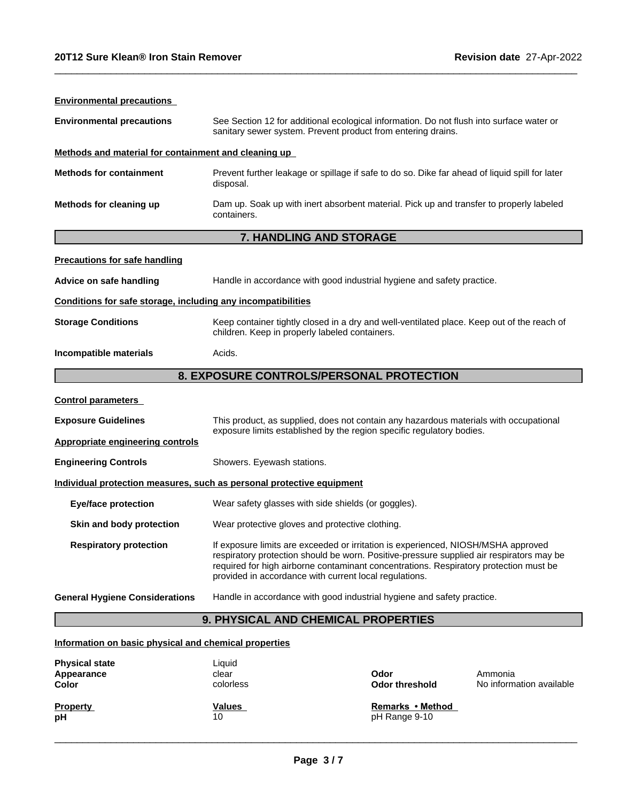| <b>Environmental precautions</b>                             |                                                                                                                                                                                                                                                                                                                                  |                               |                                     |
|--------------------------------------------------------------|----------------------------------------------------------------------------------------------------------------------------------------------------------------------------------------------------------------------------------------------------------------------------------------------------------------------------------|-------------------------------|-------------------------------------|
| <b>Environmental precautions</b>                             | See Section 12 for additional ecological information. Do not flush into surface water or<br>sanitary sewer system. Prevent product from entering drains.                                                                                                                                                                         |                               |                                     |
| Methods and material for containment and cleaning up         |                                                                                                                                                                                                                                                                                                                                  |                               |                                     |
| <b>Methods for containment</b>                               | Prevent further leakage or spillage if safe to do so. Dike far ahead of liquid spill for later<br>disposal.                                                                                                                                                                                                                      |                               |                                     |
| Methods for cleaning up                                      | Dam up. Soak up with inert absorbent material. Pick up and transfer to properly labeled<br>containers.                                                                                                                                                                                                                           |                               |                                     |
|                                                              | 7. HANDLING AND STORAGE                                                                                                                                                                                                                                                                                                          |                               |                                     |
| <b>Precautions for safe handling</b>                         |                                                                                                                                                                                                                                                                                                                                  |                               |                                     |
| Advice on safe handling                                      | Handle in accordance with good industrial hygiene and safety practice.                                                                                                                                                                                                                                                           |                               |                                     |
| Conditions for safe storage, including any incompatibilities |                                                                                                                                                                                                                                                                                                                                  |                               |                                     |
| <b>Storage Conditions</b>                                    | Keep container tightly closed in a dry and well-ventilated place. Keep out of the reach of<br>children. Keep in properly labeled containers.                                                                                                                                                                                     |                               |                                     |
| Incompatible materials                                       | Acids.                                                                                                                                                                                                                                                                                                                           |                               |                                     |
|                                                              | 8. EXPOSURE CONTROLS/PERSONAL PROTECTION                                                                                                                                                                                                                                                                                         |                               |                                     |
| <b>Control parameters</b>                                    |                                                                                                                                                                                                                                                                                                                                  |                               |                                     |
| <b>Exposure Guidelines</b>                                   | This product, as supplied, does not contain any hazardous materials with occupational<br>exposure limits established by the region specific regulatory bodies.                                                                                                                                                                   |                               |                                     |
| <b>Appropriate engineering controls</b>                      |                                                                                                                                                                                                                                                                                                                                  |                               |                                     |
| <b>Engineering Controls</b>                                  | Showers. Eyewash stations.                                                                                                                                                                                                                                                                                                       |                               |                                     |
|                                                              | Individual protection measures, such as personal protective equipment                                                                                                                                                                                                                                                            |                               |                                     |
| <b>Eye/face protection</b>                                   | Wear safety glasses with side shields (or goggles).                                                                                                                                                                                                                                                                              |                               |                                     |
| Skin and body protection                                     | Wear protective gloves and protective clothing.                                                                                                                                                                                                                                                                                  |                               |                                     |
| <b>Respiratory protection</b>                                | If exposure limits are exceeded or irritation is experienced, NIOSH/MSHA approved<br>respiratory protection should be worn. Positive-pressure supplied air respirators may be<br>required for high airborne contaminant concentrations. Respiratory protection must be<br>provided in accordance with current local regulations. |                               |                                     |
| <b>General Hygiene Considerations</b>                        | Handle in accordance with good industrial hygiene and safety practice.                                                                                                                                                                                                                                                           |                               |                                     |
|                                                              | 9. PHYSICAL AND CHEMICAL PROPERTIES                                                                                                                                                                                                                                                                                              |                               |                                     |
| Information on basic physical and chemical properties        |                                                                                                                                                                                                                                                                                                                                  |                               |                                     |
| <b>Physical state</b><br>Appearance<br>Color                 | Liquid<br>clear<br>colorless                                                                                                                                                                                                                                                                                                     | Odor<br><b>Odor threshold</b> | Ammonia<br>No information available |

 $\_$  ,  $\_$  ,  $\_$  ,  $\_$  ,  $\_$  ,  $\_$  ,  $\_$  ,  $\_$  ,  $\_$  ,  $\_$  ,  $\_$  ,  $\_$  ,  $\_$  ,  $\_$  ,  $\_$  ,  $\_$  ,  $\_$  ,  $\_$  ,  $\_$  ,  $\_$  ,  $\_$  ,  $\_$  ,  $\_$  ,  $\_$  ,  $\_$  ,  $\_$  ,  $\_$  ,  $\_$  ,  $\_$  ,  $\_$  ,  $\_$  ,  $\_$  ,  $\_$  ,  $\_$  ,  $\_$  ,  $\_$  ,  $\_$  ,

| <b>Property</b> | <b>Values</b> | Remarks • Method |
|-----------------|---------------|------------------|
| pH              | 10            | pH Range 9-10    |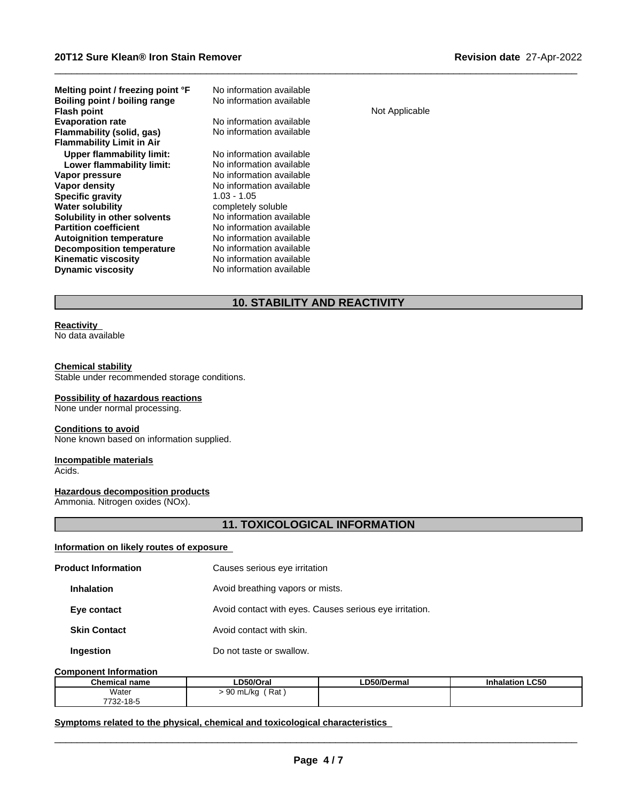| Melting point / freezing point °F<br>Boiling point / boiling range<br><b>Flash point</b> | No information available<br>No information available | Not Applicable |
|------------------------------------------------------------------------------------------|------------------------------------------------------|----------------|
| <b>Evaporation rate</b>                                                                  | No information available                             |                |
| Flammability (solid, gas)                                                                | No information available                             |                |
| <b>Flammability Limit in Air</b>                                                         |                                                      |                |
| <b>Upper flammability limit:</b>                                                         | No information available                             |                |
| Lower flammability limit:                                                                | No information available                             |                |
| Vapor pressure                                                                           | No information available                             |                |
| Vapor density                                                                            | No information available                             |                |
| <b>Specific gravity</b>                                                                  | $1.03 - 1.05$                                        |                |
| <b>Water solubility</b>                                                                  | completely soluble                                   |                |
| Solubility in other solvents                                                             | No information available                             |                |
| <b>Partition coefficient</b>                                                             | No information available                             |                |
| <b>Autoignition temperature</b>                                                          | No information available                             |                |
| <b>Decomposition temperature</b>                                                         | No information available                             |                |
| <b>Kinematic viscosity</b>                                                               | No information available                             |                |
| <b>Dynamic viscosity</b>                                                                 | No information available                             |                |

# **10. STABILITY AND REACTIVITY**

 $\_$  ,  $\_$  ,  $\_$  ,  $\_$  ,  $\_$  ,  $\_$  ,  $\_$  ,  $\_$  ,  $\_$  ,  $\_$  ,  $\_$  ,  $\_$  ,  $\_$  ,  $\_$  ,  $\_$  ,  $\_$  ,  $\_$  ,  $\_$  ,  $\_$  ,  $\_$  ,  $\_$  ,  $\_$  ,  $\_$  ,  $\_$  ,  $\_$  ,  $\_$  ,  $\_$  ,  $\_$  ,  $\_$  ,  $\_$  ,  $\_$  ,  $\_$  ,  $\_$  ,  $\_$  ,  $\_$  ,  $\_$  ,  $\_$  ,

#### **Reactivity** No data available

## **Chemical stability**

Stable under recommended storage conditions.

#### **Possibility of hazardous reactions**

None under normal processing.

## **Conditions to avoid**

None known based on information supplied.

## **Incompatible materials**

Acids.

## **Hazardous decomposition products**

Ammonia. Nitrogen oxides (NOx).

# **11. TOXICOLOGICAL INFORMATION**

## **Information on likely routes of exposure**

| <b>Product Information</b> | Causes serious eye irritation                           |
|----------------------------|---------------------------------------------------------|
| <b>Inhalation</b>          | Avoid breathing vapors or mists.                        |
| Eye contact                | Avoid contact with eyes. Causes serious eye irritation. |
| <b>Skin Contact</b>        | Avoid contact with skin.                                |
| Ingestion                  | Do not taste or swallow.                                |

#### **Component Information**

| <b>Chemical name</b>             | D50/Oral                    | ----<br>LD50/Dermal | halation LC50<br>Inł |
|----------------------------------|-----------------------------|---------------------|----------------------|
| Water                            | `Rat<br>∩∩<br>) mL/ka<br>◡◡ |                     |                      |
| .40<br>ララハハ<br>75-10-20 <i>ا</i> |                             |                     |                      |

#### **<u>Symptoms related to the physical, chemical and toxicological characteristics</u>**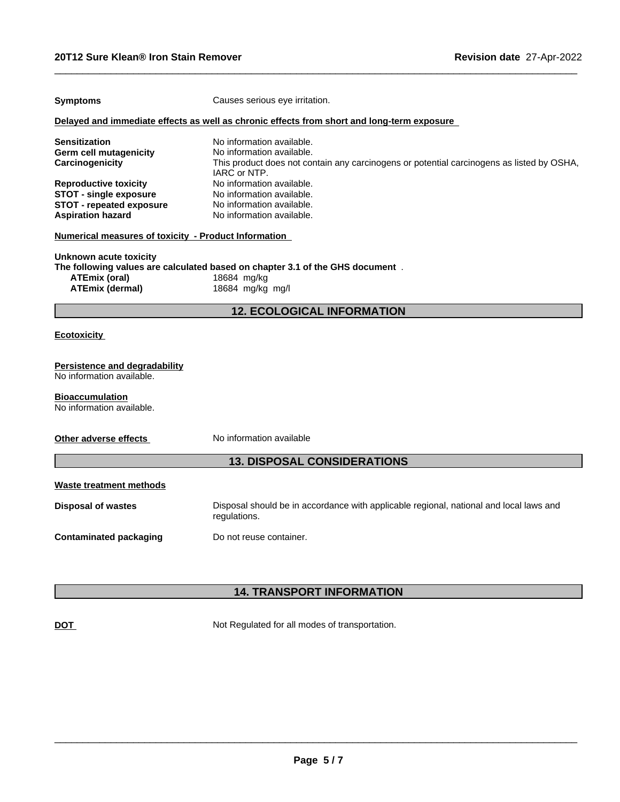| <b>Symptoms</b>                                                                                                              | Causes serious eye irritation.                                                                                                                                      |
|------------------------------------------------------------------------------------------------------------------------------|---------------------------------------------------------------------------------------------------------------------------------------------------------------------|
|                                                                                                                              | Delayed and immediate effects as well as chronic effects from short and long-term exposure                                                                          |
| <b>Sensitization</b><br><b>Germ cell mutagenicity</b><br>Carcinogenicity                                                     | No information available.<br>No information available.<br>This product does not contain any carcinogens or potential carcinogens as listed by OSHA,<br>IARC or NTP. |
| <b>Reproductive toxicity</b><br><b>STOT - single exposure</b><br><b>STOT - repeated exposure</b><br><b>Aspiration hazard</b> | No information available.<br>No information available.<br>No information available.<br>No information available.                                                    |
| <b>Numerical measures of toxicity - Product Information</b>                                                                  |                                                                                                                                                                     |
| Unknown acute toxicity<br><b>ATEmix (oral)</b><br><b>ATEmix (dermal)</b>                                                     | The following values are calculated based on chapter 3.1 of the GHS document.<br>18684 mg/kg<br>18684 mg/kg mg/l                                                    |
|                                                                                                                              | <b>12. ECOLOGICAL INFORMATION</b>                                                                                                                                   |
| <b>Ecotoxicity</b>                                                                                                           |                                                                                                                                                                     |
| <b>Persistence and degradability</b><br>No information available.                                                            |                                                                                                                                                                     |
| <b>Bioaccumulation</b><br>No information available.                                                                          |                                                                                                                                                                     |
| Other adverse effects                                                                                                        | No information available                                                                                                                                            |
|                                                                                                                              | <b>13. DISPOSAL CONSIDERATIONS</b>                                                                                                                                  |
| <b>Waste treatment methods</b>                                                                                               |                                                                                                                                                                     |
| <b>Disposal of wastes</b>                                                                                                    | Disposal should be in accordance with applicable regional, national and local laws and<br>regulations.                                                              |
| <b>Contaminated packaging</b>                                                                                                | Do not reuse container.                                                                                                                                             |

 $\_$  ,  $\_$  ,  $\_$  ,  $\_$  ,  $\_$  ,  $\_$  ,  $\_$  ,  $\_$  ,  $\_$  ,  $\_$  ,  $\_$  ,  $\_$  ,  $\_$  ,  $\_$  ,  $\_$  ,  $\_$  ,  $\_$  ,  $\_$  ,  $\_$  ,  $\_$  ,  $\_$  ,  $\_$  ,  $\_$  ,  $\_$  ,  $\_$  ,  $\_$  ,  $\_$  ,  $\_$  ,  $\_$  ,  $\_$  ,  $\_$  ,  $\_$  ,  $\_$  ,  $\_$  ,  $\_$  ,  $\_$  ,  $\_$  ,

# **14. TRANSPORT INFORMATION**

**DOT** Not Regulated for all modes of transportation.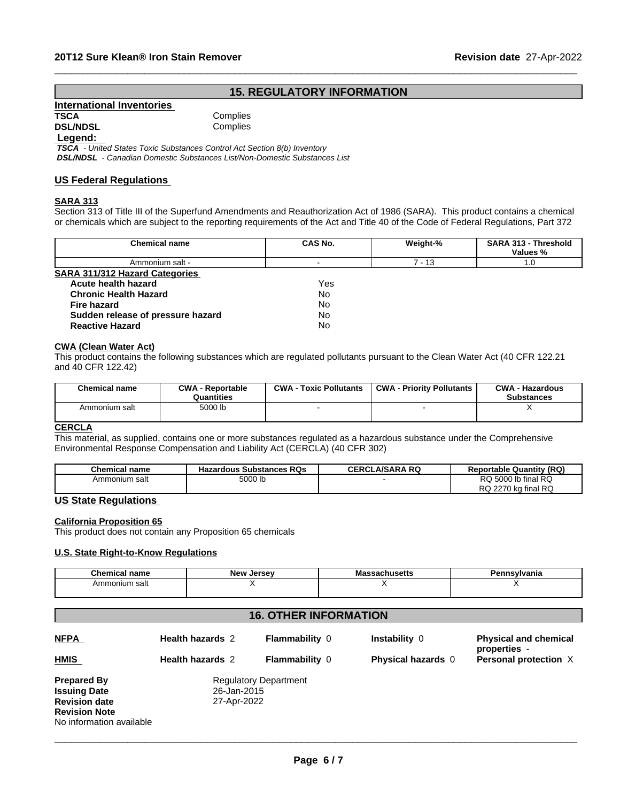## **15. REGULATORY INFORMATION**

 $\_$  ,  $\_$  ,  $\_$  ,  $\_$  ,  $\_$  ,  $\_$  ,  $\_$  ,  $\_$  ,  $\_$  ,  $\_$  ,  $\_$  ,  $\_$  ,  $\_$  ,  $\_$  ,  $\_$  ,  $\_$  ,  $\_$  ,  $\_$  ,  $\_$  ,  $\_$  ,  $\_$  ,  $\_$  ,  $\_$  ,  $\_$  ,  $\_$  ,  $\_$  ,  $\_$  ,  $\_$  ,  $\_$  ,  $\_$  ,  $\_$  ,  $\_$  ,  $\_$  ,  $\_$  ,  $\_$  ,  $\_$  ,  $\_$  ,

| <b>International Inventories</b> |          |  |
|----------------------------------|----------|--|
| TSCA                             | Complies |  |
|                                  |          |  |

Complies **DSL/NDSL** Complies

## **Legend:**

 *TSCA - United States Toxic Substances Control Act Section 8(b) Inventory DSL/NDSL - Canadian Domestic Substances List/Non-Domestic Substances List*

## **US Federal Regulations**

## **SARA 313**

Section 313 of Title III of the Superfund Amendments and Reauthorization Act of 1986 (SARA). This product contains a chemical or chemicals which are subject to the reporting requirements of the Act and Title 40 of the Code of Federal Regulations, Part 372

| <b>Chemical name</b>                  | CAS No.   | Weight-% | SARA 313 - Threshold<br>Values % |  |
|---------------------------------------|-----------|----------|----------------------------------|--|
| Ammonium salt -                       |           | 7 - 13   | 1.0                              |  |
| <b>SARA 311/312 Hazard Categories</b> |           |          |                                  |  |
| Acute health hazard                   | Yes.      |          |                                  |  |
| <b>Chronic Health Hazard</b>          | No        |          |                                  |  |
| Fire hazard                           | No        |          |                                  |  |
| Sudden release of pressure hazard     | <b>No</b> |          |                                  |  |
| <b>Reactive Hazard</b>                | <b>No</b> |          |                                  |  |
|                                       |           |          |                                  |  |

#### **CWA** (Clean Water Act)

This product contains the following substances which are regulated pollutants pursuant to the Clean Water Act (40 CFR 122.21 and 40 CFR 122.42)

| <b>Chemical name</b> | <b>CWA - Reportable</b><br>Quantities | <b>CWA</b><br><b>Toxic Pollutants</b> | <b>CWA - Priority Pollutants</b> | <b>CWA - Hazardous</b><br><b>Substances</b> |
|----------------------|---------------------------------------|---------------------------------------|----------------------------------|---------------------------------------------|
| Ammonium salt        | 5000 lb                               |                                       |                                  |                                             |

#### **CERCLA**

This material, as supplied, contains one or more substances regulated as a hazardous substance under the Comprehensive Environmental Response Compensation and Liability Act (CERCLA) (40 CFR 302)

| <b>Chemical name</b> | <b>Hazardous Substances RQs</b> | <b>LA/SARA RQ</b><br>CERCL | (RQ)<br><b>Reportable Quantity</b> |
|----------------------|---------------------------------|----------------------------|------------------------------------|
| Ammonium salt        | 5000 lb                         |                            | RQ 5000 lb final RQ<br>DO.         |
|                      |                                 |                            | kg final RQ<br>RQ.<br>2270         |

## **US State Regulations**

#### **California Proposition 65**

This product does not contain any Proposition 65 chemicals

#### **U.S. State Right-to-Know Regulations**

| $\sim$<br>Chemical<br>пане | <b>New</b><br><b>Jersev</b> | п.<br>/dilld |
|----------------------------|-----------------------------|--------------|
| Ammonium salt              |                             |              |
|                            |                             |              |

## **16. OTHER INFORMATION**

| <b>NFPA</b>                                      | <b>Health hazards 2</b> | <b>Flammability 0</b>        | Instability 0             | <b>Physical and chemical</b><br>properties - |
|--------------------------------------------------|-------------------------|------------------------------|---------------------------|----------------------------------------------|
| <b>HMIS</b>                                      | <b>Health hazards 2</b> | <b>Flammability 0</b>        | <b>Physical hazards</b> 0 | <b>Personal protection X</b>                 |
| <b>Prepared By</b>                               |                         | <b>Regulatory Department</b> |                           |                                              |
| <b>Issuing Date</b>                              | 26-Jan-2015             |                              |                           |                                              |
| <b>Revision date</b>                             | 27-Apr-2022             |                              |                           |                                              |
| <b>Revision Note</b><br>No information available |                         |                              |                           |                                              |